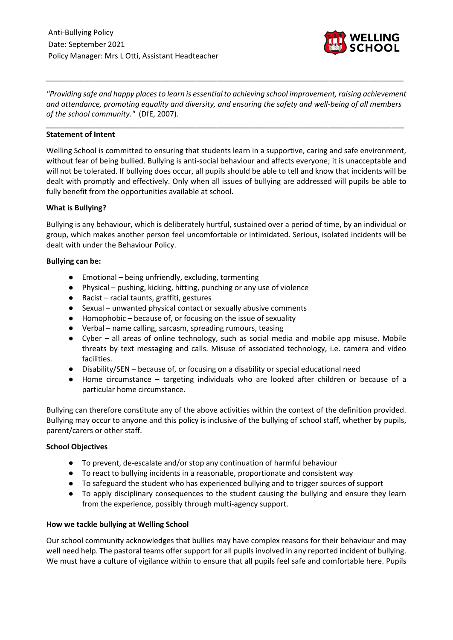

*"Providing safe and happy places to learn is essential to achieving school improvement, raising achievement and attendance, promoting equality and diversity, and ensuring the safety and well-being of all members of the school community."* (DfE, 2007).

*\_\_\_\_\_\_\_\_\_\_\_\_\_\_\_\_\_\_\_\_\_\_\_\_\_\_\_\_\_\_\_\_\_\_\_\_\_\_\_\_\_\_\_\_\_\_\_\_\_\_\_\_\_\_\_\_\_\_\_\_\_\_\_\_\_\_\_\_\_\_\_\_\_\_\_\_\_\_\_\_\_\_\_\_\_\_*

*\_\_\_\_\_\_\_\_\_\_\_\_\_\_\_\_\_\_\_\_\_\_\_\_\_\_\_\_\_\_\_\_\_\_\_\_\_\_\_\_\_\_\_\_\_\_\_\_\_\_\_\_\_\_\_\_\_\_\_\_\_\_\_\_\_\_\_\_\_\_\_\_\_\_\_\_\_\_\_\_\_\_\_\_\_\_*

#### **Statement of Intent**

Welling School is committed to ensuring that students learn in a supportive, caring and safe environment, without fear of being bullied. Bullying is anti-social behaviour and affects everyone; it is unacceptable and will not be tolerated. If bullying does occur, all pupils should be able to tell and know that incidents will be dealt with promptly and effectively. Only when all issues of bullying are addressed will pupils be able to fully benefit from the opportunities available at school.

#### **What is Bullying?**

Bullying is any behaviour, which is deliberately hurtful, sustained over a period of time, by an individual or group, which makes another person feel uncomfortable or intimidated. Serious, isolated incidents will be dealt with under the Behaviour Policy.

#### **Bullying can be:**

- Emotional being unfriendly, excluding, tormenting
- Physical pushing, kicking, hitting, punching or any use of violence
- Racist racial taunts, graffiti, gestures
- Sexual unwanted physical contact or sexually abusive comments
- Homophobic because of, or focusing on the issue of sexuality
- Verbal name calling, sarcasm, spreading rumours, teasing
- Cyber all areas of online technology, such as social media and mobile app misuse. Mobile threats by text messaging and calls. Misuse of associated technology, i.e. camera and video facilities.
- Disability/SEN because of, or focusing on a disability or special educational need
- Home circumstance targeting individuals who are looked after children or because of a particular home circumstance.

Bullying can therefore constitute any of the above activities within the context of the definition provided. Bullying may occur to anyone and this policy is inclusive of the bullying of school staff, whether by pupils, parent/carers or other staff.

# **School Objectives**

- To prevent, de-escalate and/or stop any continuation of harmful behaviour
- To react to bullying incidents in a reasonable, proportionate and consistent way
- To safeguard the student who has experienced bullying and to trigger sources of support
- To apply disciplinary consequences to the student causing the bullying and ensure they learn from the experience, possibly through multi-agency support.

# **How we tackle bullying at Welling School**

Our school community acknowledges that bullies may have complex reasons for their behaviour and may well need help. The pastoral teams offer support for all pupils involved in any reported incident of bullying. We must have a culture of vigilance within to ensure that all pupils feel safe and comfortable here. Pupils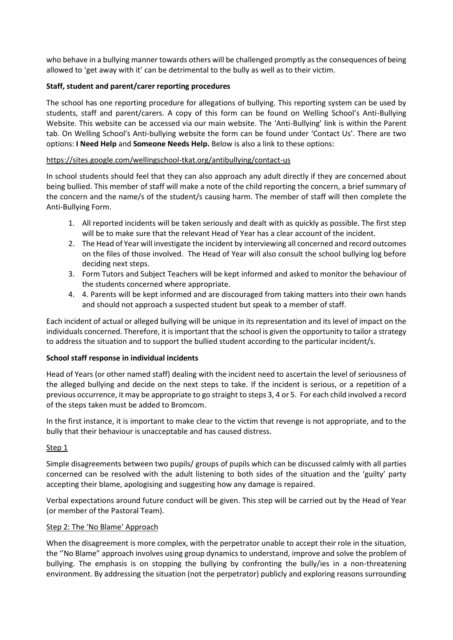who behave in a bullying manner towards others will be challenged promptly as the consequences of being allowed to 'get away with it' can be detrimental to the bully as well as to their victim.

#### **Staff, student and parent/carer reporting procedures**

The school has one reporting procedure for allegations of bullying. This reporting system can be used by students, staff and parent/carers. A copy of this form can be found on Welling School's Anti-Bullying Website. This website can be accessed via our main website. The 'Anti-Bullying' link is within the Parent tab. On Welling School's Anti-bullying website the form can be found under 'Contact Us'. There are two options: **I Need Help** and **Someone Needs Help.** Below is also a link to these options:

#### <https://sites.google.com/wellingschool-tkat.org/antibullying/contact-us>

In school students should feel that they can also approach any adult directly if they are concerned about being bullied. This member of staff will make a note of the child reporting the concern, a brief summary of the concern and the name/s of the student/s causing harm. The member of staff will then complete the Anti-Bullying Form.

- 1. All reported incidents will be taken seriously and dealt with as quickly as possible. The first step will be to make sure that the relevant Head of Year has a clear account of the incident.
- 2. The Head of Year will investigate the incident by interviewing all concerned and record outcomes on the files of those involved. The Head of Year will also consult the school bullying log before deciding next steps.
- 3. Form Tutors and Subject Teachers will be kept informed and asked to monitor the behaviour of the students concerned where appropriate.
- 4. 4. Parents will be kept informed and are discouraged from taking matters into their own hands and should not approach a suspected student but speak to a member of staff.

Each incident of actual or alleged bullying will be unique in its representation and its level of impact on the individuals concerned. Therefore, it is important that the school is given the opportunity to tailor a strategy to address the situation and to support the bullied student according to the particular incident/s.

#### **School staff response in individual incidents**

Head of Years (or other named staff) dealing with the incident need to ascertain the level of seriousness of the alleged bullying and decide on the next steps to take. If the incident is serious, or a repetition of a previous occurrence, it may be appropriate to go straight to steps 3, 4 or 5. For each child involved a record of the steps taken must be added to Bromcom.

In the first instance, it is important to make clear to the victim that revenge is not appropriate, and to the bully that their behaviour is unacceptable and has caused distress.

# Step 1

Simple disagreements between two pupils/ groups of pupils which can be discussed calmly with all parties concerned can be resolved with the adult listening to both sides of the situation and the 'guilty' party accepting their blame, apologising and suggesting how any damage is repaired.

Verbal expectations around future conduct will be given. This step will be carried out by the Head of Year (or member of the Pastoral Team).

#### Step 2: The 'No Blame' Approach

When the disagreement is more complex, with the perpetrator unable to accept their role in the situation, the ''No Blame" approach involves using group dynamics to understand, improve and solve the problem of bullying. The emphasis is on stopping the bullying by confronting the bully/ies in a non-threatening environment. By addressing the situation (not the perpetrator) publicly and exploring reasons surrounding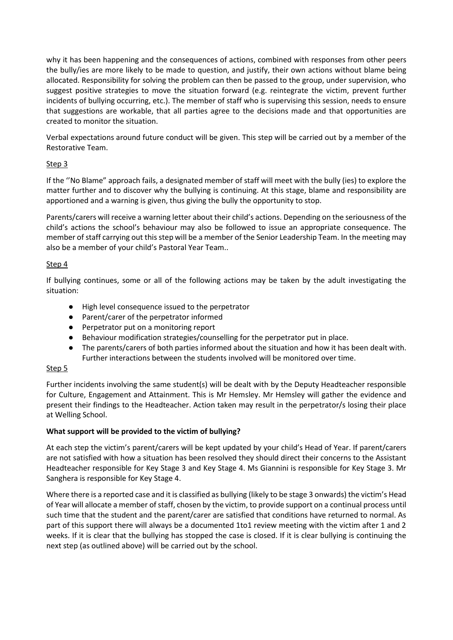why it has been happening and the consequences of actions, combined with responses from other peers the bully/ies are more likely to be made to question, and justify, their own actions without blame being allocated. Responsibility for solving the problem can then be passed to the group, under supervision, who suggest positive strategies to move the situation forward (e.g. reintegrate the victim, prevent further incidents of bullying occurring, etc.). The member of staff who is supervising this session, needs to ensure that suggestions are workable, that all parties agree to the decisions made and that opportunities are created to monitor the situation.

Verbal expectations around future conduct will be given. This step will be carried out by a member of the Restorative Team.

# Step 3

If the ''No Blame" approach fails, a designated member of staff will meet with the bully (ies) to explore the matter further and to discover why the bullying is continuing. At this stage, blame and responsibility are apportioned and a warning is given, thus giving the bully the opportunity to stop.

Parents/carers will receive a warning letter about their child's actions. Depending on the seriousness of the child's actions the school's behaviour may also be followed to issue an appropriate consequence. The member of staff carrying out this step will be a member of the Senior Leadership Team. In the meeting may also be a member of your child's Pastoral Year Team..

# Step 4

If bullying continues, some or all of the following actions may be taken by the adult investigating the situation:

- High level consequence issued to the perpetrator
- Parent/carer of the perpetrator informed
- Perpetrator put on a monitoring report
- Behaviour modification strategies/counselling for the perpetrator put in place.
- The parents/carers of both parties informed about the situation and how it has been dealt with. Further interactions between the students involved will be monitored over time.

# Step 5

Further incidents involving the same student(s) will be dealt with by the Deputy Headteacher responsible for Culture, Engagement and Attainment. This is Mr Hemsley. Mr Hemsley will gather the evidence and present their findings to the Headteacher. Action taken may result in the perpetrator/s losing their place at Welling School.

# **What support will be provided to the victim of bullying?**

At each step the victim's parent/carers will be kept updated by your child's Head of Year. If parent/carers are not satisfied with how a situation has been resolved they should direct their concerns to the Assistant Headteacher responsible for Key Stage 3 and Key Stage 4. Ms Giannini is responsible for Key Stage 3. Mr Sanghera is responsible for Key Stage 4.

Where there is a reported case and it is classified as bullying (likely to be stage 3 onwards) the victim's Head of Year will allocate a member of staff, chosen by the victim, to provide support on a continual process until such time that the student and the parent/carer are satisfied that conditions have returned to normal. As part of this support there will always be a documented 1to1 review meeting with the victim after 1 and 2 weeks. If it is clear that the bullying has stopped the case is closed. If it is clear bullying is continuing the next step (as outlined above) will be carried out by the school.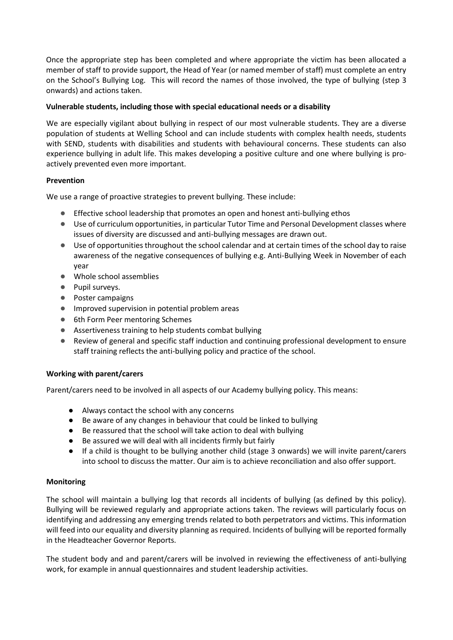Once the appropriate step has been completed and where appropriate the victim has been allocated a member of staff to provide support, the Head of Year (or named member of staff) must complete an entry on the School's Bullying Log. This will record the names of those involved, the type of bullying (step 3 onwards) and actions taken.

#### **Vulnerable students, including those with special educational needs or a disability**

We are especially vigilant about bullying in respect of our most vulnerable students. They are a diverse population of students at Welling School and can include students with complex health needs, students with SEND, students with disabilities and students with behavioural concerns. These students can also experience bullying in adult life. This makes developing a positive culture and one where bullying is proactively prevented even more important.

#### **Prevention**

We use a range of proactive strategies to prevent bullying. These include:

- Effective school leadership that promotes an open and honest anti-bullying ethos
- Use of curriculum opportunities, in particular Tutor Time and Personal Development classes where issues of diversity are discussed and anti-bullying messages are drawn out.
- Use of opportunities throughout the school calendar and at certain times of the school day to raise awareness of the negative consequences of bullying e.g. Anti-Bullying Week in November of each year
- Whole school assemblies
- Pupil surveys.
- Poster campaigns
- Improved supervision in potential problem areas
- 6th Form Peer mentoring Schemes
- Assertiveness training to help students combat bullying
- Review of general and specific staff induction and continuing professional development to ensure staff training reflects the anti-bullying policy and practice of the school.

# **Working with parent/carers**

Parent/carers need to be involved in all aspects of our Academy bullying policy. This means:

- Always contact the school with any concerns
- Be aware of any changes in behaviour that could be linked to bullying
- Be reassured that the school will take action to deal with bullying
- Be assured we will deal with all incidents firmly but fairly
- If a child is thought to be bullying another child (stage 3 onwards) we will invite parent/carers into school to discuss the matter. Our aim is to achieve reconciliation and also offer support.

# **Monitoring**

The school will maintain a bullying log that records all incidents of bullying (as defined by this policy). Bullying will be reviewed regularly and appropriate actions taken. The reviews will particularly focus on identifying and addressing any emerging trends related to both perpetrators and victims. This information will feed into our equality and diversity planning as required. Incidents of bullying will be reported formally in the Headteacher Governor Reports.

The student body and and parent/carers will be involved in reviewing the effectiveness of anti-bullying work, for example in annual questionnaires and student leadership activities.